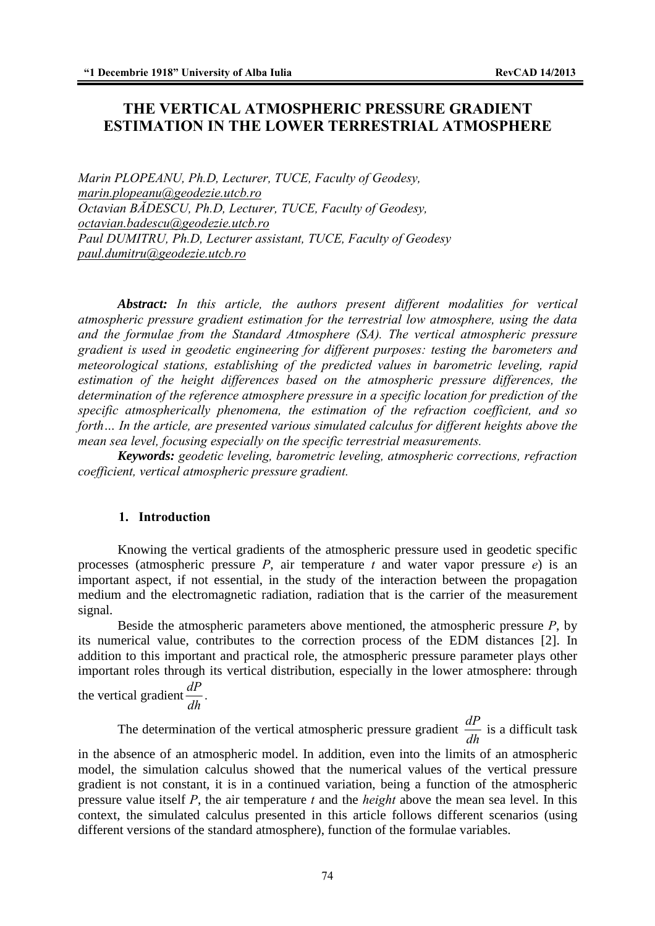# **THE VERTICAL ATMOSPHERIC PRESSURE GRADIENT ESTIMATION IN THE LOWER TERRESTRIAL ATMOSPHERE**

*Marin PLOPEANU, Ph.D, Lecturer, TUCE, Faculty of Geodesy, marin.plopeanu@geodezie.utcb.ro Octavian BĂDESCU, Ph.D, Lecturer, TUCE, Faculty of Geodesy, octavian.badescu@geodezie.utcb.ro Paul DUMITRU, Ph.D, Lecturer assistant, TUCE, Faculty of Geodesy paul.dumitru@geodezie.utcb.ro*

*Abstract: In this article, the authors present different modalities for vertical atmospheric pressure gradient estimation for the terrestrial low atmosphere, using the data and the formulae from the Standard Atmosphere (SA). The vertical atmospheric pressure gradient is used in geodetic engineering for different purposes: testing the barometers and meteorological stations, establishing of the predicted values in barometric leveling, rapid estimation of the height differences based on the atmospheric pressure differences, the determination of the reference atmosphere pressure in a specific location for prediction of the specific atmospherically phenomena, the estimation of the refraction coefficient, and so forth… In the article, are presented various simulated calculus for different heights above the mean sea level, focusing especially on the specific terrestrial measurements.* 

*Keywords: geodetic leveling, barometric leveling, atmospheric corrections, refraction coefficient, vertical atmospheric pressure gradient.* 

### **1. Introduction**

Knowing the vertical gradients of the atmospheric pressure used in geodetic specific processes (atmospheric pressure *P*, air temperature *t* and water vapor pressure *e*) is an important aspect, if not essential, in the study of the interaction between the propagation medium and the electromagnetic radiation, radiation that is the carrier of the measurement signal.

Beside the atmospheric parameters above mentioned, the atmospheric pressure *P*, by its numerical value, contributes to the correction process of the EDM distances [2]. In addition to this important and practical role, the atmospheric pressure parameter plays other important roles through its vertical distribution, especially in the lower atmosphere: through

the vertical gradient  $\frac{dP}{dt}$  $\frac{d}{dh}$ .

The determination of the vertical atmospheric pressure gradient  $\frac{dP}{dt}$ *dh* is a difficult task in the absence of an atmospheric model. In addition, even into the limits of an atmospheric model, the simulation calculus showed that the numerical values of the vertical pressure gradient is not constant, it is in a continued variation, being a function of the atmospheric pressure value itself *P*, the air temperature *t* and the *height* above the mean sea level. In this context, the simulated calculus presented in this article follows different scenarios (using different versions of the standard atmosphere), function of the formulae variables.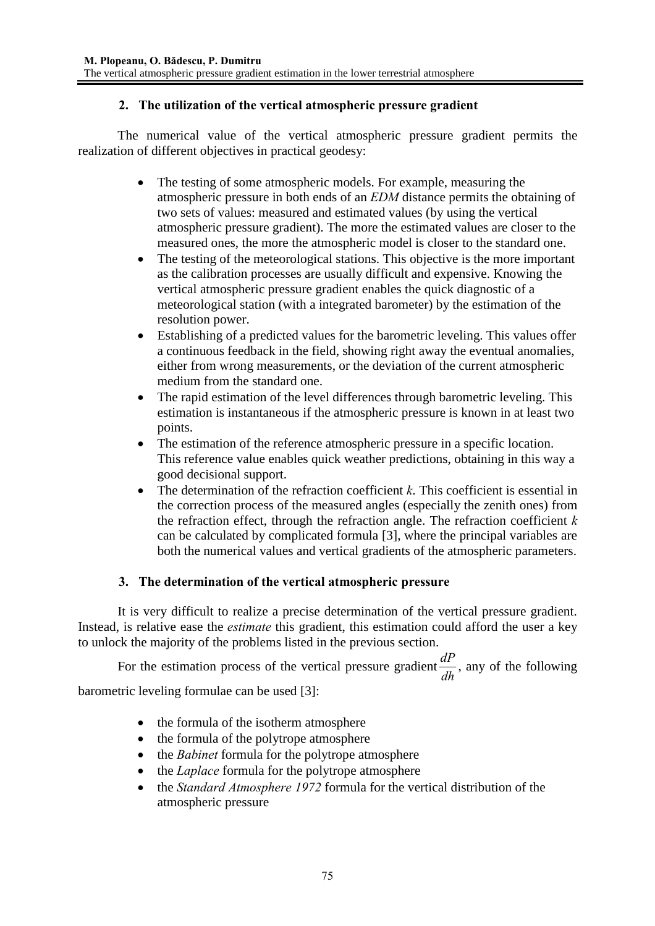### **2. The utilization of the vertical atmospheric pressure gradient**

The numerical value of the vertical atmospheric pressure gradient permits the realization of different objectives in practical geodesy:

- The testing of some atmospheric models. For example, measuring the atmospheric pressure in both ends of an *EDM* distance permits the obtaining of two sets of values: measured and estimated values (by using the vertical atmospheric pressure gradient). The more the estimated values are closer to the measured ones, the more the atmospheric model is closer to the standard one.
- The testing of the meteorological stations. This objective is the more important as the calibration processes are usually difficult and expensive. Knowing the vertical atmospheric pressure gradient enables the quick diagnostic of a meteorological station (with a integrated barometer) by the estimation of the resolution power.
- Establishing of a predicted values for the barometric leveling. This values offer a continuous feedback in the field, showing right away the eventual anomalies, either from wrong measurements, or the deviation of the current atmospheric medium from the standard one.
- The rapid estimation of the level differences through barometric leveling. This estimation is instantaneous if the atmospheric pressure is known in at least two points.
- The estimation of the reference atmospheric pressure in a specific location. This reference value enables quick weather predictions, obtaining in this way a good decisional support.
- The determination of the refraction coefficient  $k$ . This coefficient is essential in the correction process of the measured angles (especially the zenith ones) from the refraction effect, through the refraction angle. The refraction coefficient *k*  can be calculated by complicated formula [3], where the principal variables are both the numerical values and vertical gradients of the atmospheric parameters.

### **3. The determination of the vertical atmospheric pressure**

It is very difficult to realize a precise determination of the vertical pressure gradient. Instead, is relative ease the *estimate* this gradient, this estimation could afford the user a key to unlock the majority of the problems listed in the previous section.

For the estimation process of the vertical pressure gradient  $\frac{dP}{dh}$ , any of the following

barometric leveling formulae can be used [3]:

- the formula of the isotherm atmosphere
- the formula of the polytrope atmosphere
- the *Babinet* formula for the polytrope atmosphere
- the *Laplace* formula for the polytrope atmosphere
- the *Standard Atmosphere 1972* formula for the vertical distribution of the atmospheric pressure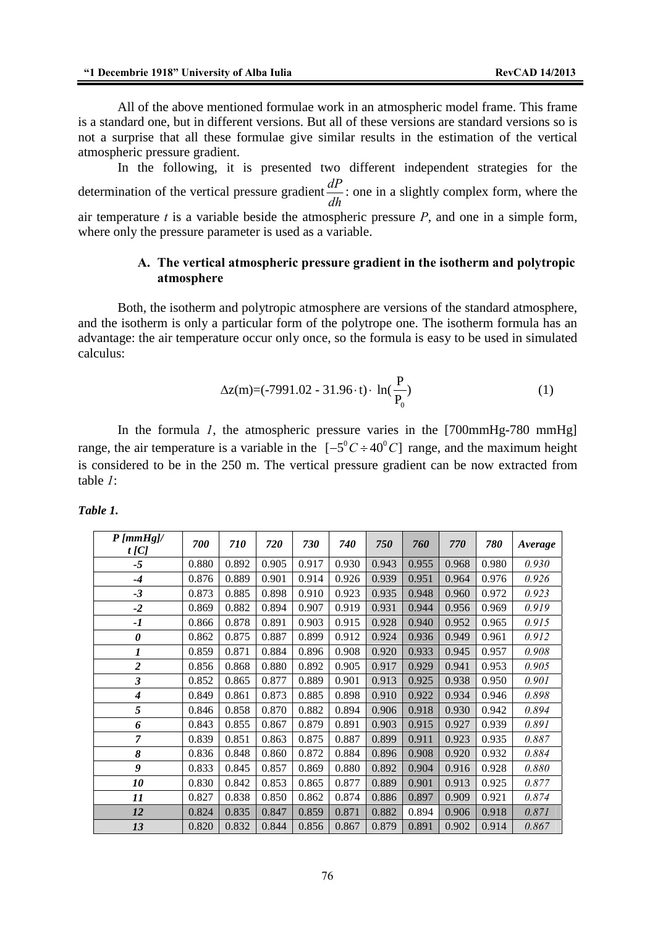All of the above mentioned formulae work in an atmospheric model frame. This frame is a standard one, but in different versions. But all of these versions are standard versions so is not a surprise that all these formulae give similar results in the estimation of the vertical atmospheric pressure gradient.

In the following, it is presented two different independent strategies for the determination of the vertical pressure gradient  $\frac{dP}{dh}$  : one in a slightly complex form, where the air temperature *t* is a variable beside the atmospheric pressure *P*, and one in a simple form, where only the pressure parameter is used as a variable.

### **A. The vertical atmospheric pressure gradient in the isotherm and polytropic atmosphere**

Both, the isotherm and polytropic atmosphere are versions of the standard atmosphere, and the isotherm is only a particular form of the polytrope one. The isotherm formula has an advantage: the air temperature occur only once, so the formula is easy to be used in simulated calculus:

$$
\Delta z(m) = (-7991.02 - 31.96 \cdot t) \cdot \ln(\frac{P}{P_0})
$$
 (1)

In the formula *1*, the atmospheric pressure varies in the [700mmHg-780 mmHg] range, the air temperature is a variable in the  $[-5^{\circ}C \div 40^{\circ}C]$  range, and the maximum height is considered to be in the 250 m. The vertical pressure gradient can be now extracted from table *1*:

| $P$ [mmHg]/<br>$t$ [C] | 700   | 710   | 720   | 730   | 740   | 750   | 760   | 770   | 780   | Average |
|------------------------|-------|-------|-------|-------|-------|-------|-------|-------|-------|---------|
| -5                     | 0.880 | 0.892 | 0.905 | 0.917 | 0.930 | 0.943 | 0.955 | 0.968 | 0.980 | 0.930   |
| $-4$                   | 0.876 | 0.889 | 0.901 | 0.914 | 0.926 | 0.939 | 0.951 | 0.964 | 0.976 | 0.926   |
| $-3$                   | 0.873 | 0.885 | 0.898 | 0.910 | 0.923 | 0.935 | 0.948 | 0.960 | 0.972 | 0.923   |
| $-2$                   | 0.869 | 0.882 | 0.894 | 0.907 | 0.919 | 0.931 | 0.944 | 0.956 | 0.969 | 0.919   |
| -1                     | 0.866 | 0.878 | 0.891 | 0.903 | 0.915 | 0.928 | 0.940 | 0.952 | 0.965 | 0.915   |
| 0                      | 0.862 | 0.875 | 0.887 | 0.899 | 0.912 | 0.924 | 0.936 | 0.949 | 0.961 | 0.912   |
| $\boldsymbol{l}$       | 0.859 | 0.871 | 0.884 | 0.896 | 0.908 | 0.920 | 0.933 | 0.945 | 0.957 | 0.908   |
| $\overline{2}$         | 0.856 | 0.868 | 0.880 | 0.892 | 0.905 | 0.917 | 0.929 | 0.941 | 0.953 | 0.905   |
| 3                      | 0.852 | 0.865 | 0.877 | 0.889 | 0.901 | 0.913 | 0.925 | 0.938 | 0.950 | 0.901   |
| 4                      | 0.849 | 0.861 | 0.873 | 0.885 | 0.898 | 0.910 | 0.922 | 0.934 | 0.946 | 0.898   |
| 5                      | 0.846 | 0.858 | 0.870 | 0.882 | 0.894 | 0.906 | 0.918 | 0.930 | 0.942 | 0.894   |
| 6                      | 0.843 | 0.855 | 0.867 | 0.879 | 0.891 | 0.903 | 0.915 | 0.927 | 0.939 | 0.891   |
| $\overline{7}$         | 0.839 | 0.851 | 0.863 | 0.875 | 0.887 | 0.899 | 0.911 | 0.923 | 0.935 | 0.887   |
| 8                      | 0.836 | 0.848 | 0.860 | 0.872 | 0.884 | 0.896 | 0.908 | 0.920 | 0.932 | 0.884   |
| 9                      | 0.833 | 0.845 | 0.857 | 0.869 | 0.880 | 0.892 | 0.904 | 0.916 | 0.928 | 0.880   |
| 10                     | 0.830 | 0.842 | 0.853 | 0.865 | 0.877 | 0.889 | 0.901 | 0.913 | 0.925 | 0.877   |
| 11                     | 0.827 | 0.838 | 0.850 | 0.862 | 0.874 | 0.886 | 0.897 | 0.909 | 0.921 | 0.874   |
| 12                     | 0.824 | 0.835 | 0.847 | 0.859 | 0.871 | 0.882 | 0.894 | 0.906 | 0.918 | 0.871   |
| 13                     | 0.820 | 0.832 | 0.844 | 0.856 | 0.867 | 0.879 | 0.891 | 0.902 | 0.914 | 0.867   |

*Table 1.*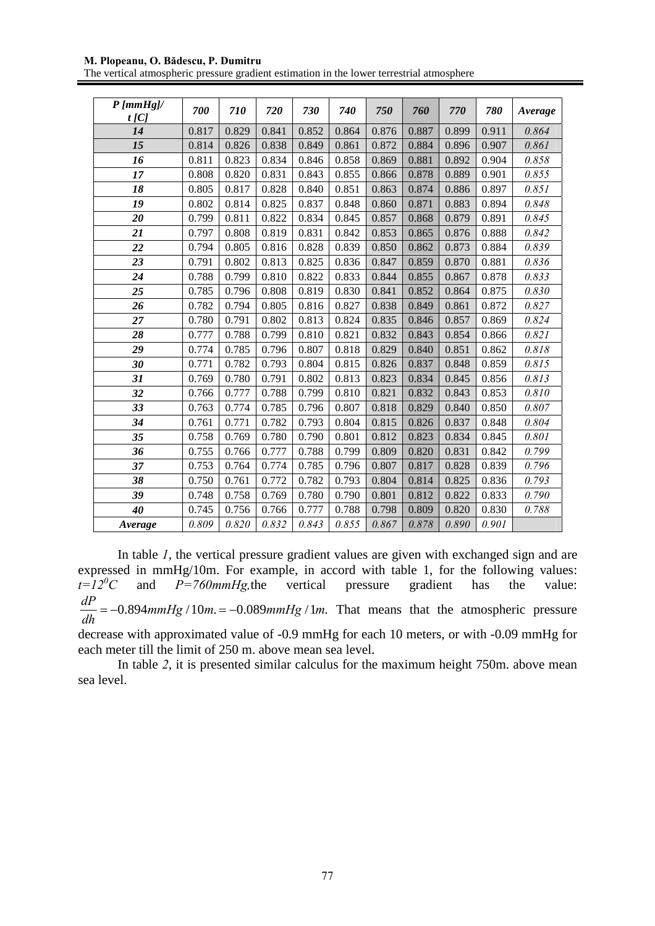#### **M. Plopeanu, O. Bădescu, P. Dumitru**

The vertical atmospheric pressure gradient estimation in the lower terrestrial atmosphere

| $P$ [mmHg]/<br>$t$ [C] | 700   | 710   | 720   | 730   | 740   | 750   | 760   | 770   | 780   | Average |
|------------------------|-------|-------|-------|-------|-------|-------|-------|-------|-------|---------|
| 14                     | 0.817 | 0.829 | 0.841 | 0.852 | 0.864 | 0.876 | 0.887 | 0.899 | 0.911 | 0.864   |
| 15                     | 0.814 | 0.826 | 0.838 | 0.849 | 0.861 | 0.872 | 0.884 | 0.896 | 0.907 | 0.861   |
| 16                     | 0.811 | 0.823 | 0.834 | 0.846 | 0.858 | 0.869 | 0.881 | 0.892 | 0.904 | 0.858   |
| 17                     | 0.808 | 0.820 | 0.831 | 0.843 | 0.855 | 0.866 | 0.878 | 0.889 | 0.901 | 0.855   |
| 18                     | 0.805 | 0.817 | 0.828 | 0.840 | 0.851 | 0.863 | 0.874 | 0.886 | 0.897 | 0.851   |
| 19                     | 0.802 | 0.814 | 0.825 | 0.837 | 0.848 | 0.860 | 0.871 | 0.883 | 0.894 | 0.848   |
| 20                     | 0.799 | 0.811 | 0.822 | 0.834 | 0.845 | 0.857 | 0.868 | 0.879 | 0.891 | 0.845   |
| 21                     | 0.797 | 0.808 | 0.819 | 0.831 | 0.842 | 0.853 | 0.865 | 0.876 | 0.888 | 0.842   |
| 22                     | 0.794 | 0.805 | 0.816 | 0.828 | 0.839 | 0.850 | 0.862 | 0.873 | 0.884 | 0.839   |
| 23                     | 0.791 | 0.802 | 0.813 | 0.825 | 0.836 | 0.847 | 0.859 | 0.870 | 0.881 | 0.836   |
| 24                     | 0.788 | 0.799 | 0.810 | 0.822 | 0.833 | 0.844 | 0.855 | 0.867 | 0.878 | 0.833   |
| 25                     | 0.785 | 0.796 | 0.808 | 0.819 | 0.830 | 0.841 | 0.852 | 0.864 | 0.875 | 0.830   |
| 26                     | 0.782 | 0.794 | 0.805 | 0.816 | 0.827 | 0.838 | 0.849 | 0.861 | 0.872 | 0.827   |
| 27                     | 0.780 | 0.791 | 0.802 | 0.813 | 0.824 | 0.835 | 0.846 | 0.857 | 0.869 | 0.824   |
| 28                     | 0.777 | 0.788 | 0.799 | 0.810 | 0.821 | 0.832 | 0.843 | 0.854 | 0.866 | 0.821   |
| 29                     | 0.774 | 0.785 | 0.796 | 0.807 | 0.818 | 0.829 | 0.840 | 0.851 | 0.862 | 0.818   |
| 30                     | 0.771 | 0.782 | 0.793 | 0.804 | 0.815 | 0.826 | 0.837 | 0.848 | 0.859 | 0.815   |
| 31                     | 0.769 | 0.780 | 0.791 | 0.802 | 0.813 | 0.823 | 0.834 | 0.845 | 0.856 | 0.813   |
| 32                     | 0.766 | 0.777 | 0.788 | 0.799 | 0.810 | 0.821 | 0.832 | 0.843 | 0.853 | 0.810   |
| 33                     | 0.763 | 0.774 | 0.785 | 0.796 | 0.807 | 0.818 | 0.829 | 0.840 | 0.850 | 0.807   |
| 34                     | 0.761 | 0.771 | 0.782 | 0.793 | 0.804 | 0.815 | 0.826 | 0.837 | 0.848 | 0.804   |
| 35                     | 0.758 | 0.769 | 0.780 | 0.790 | 0.801 | 0.812 | 0.823 | 0.834 | 0.845 | 0.801   |
| 36                     | 0.755 | 0.766 | 0.777 | 0.788 | 0.799 | 0.809 | 0.820 | 0.831 | 0.842 | 0.799   |
| 37                     | 0.753 | 0.764 | 0.774 | 0.785 | 0.796 | 0.807 | 0.817 | 0.828 | 0.839 | 0.796   |
| 38                     | 0.750 | 0.761 | 0.772 | 0.782 | 0.793 | 0.804 | 0.814 | 0.825 | 0.836 | 0.793   |
| 39                     | 0.748 | 0.758 | 0.769 | 0.780 | 0.790 | 0.801 | 0.812 | 0.822 | 0.833 | 0.790   |
| 40                     | 0.745 | 0.756 | 0.766 | 0.777 | 0.788 | 0.798 | 0.809 | 0.820 | 0.830 | 0.788   |
| Average                | 0.809 | 0.820 | 0.832 | 0.843 | 0.855 | 0.867 | 0.878 | 0.890 | 0.901 |         |

In table *1*, the vertical pressure gradient values are given with exchanged sign and are expressed in mmHg/10m. For example, in accord with table 1, for the following values:  $t = 12^{0}C$ and  $P=760mmHg,$ the vertical pressure gradient has the value:  $\frac{dP}{dh} = -0.894$  *mmHg* /10 *m*. = −0.089 *mmHg* /1*m*. That means that the atmospheric pressure

decrease with approximated value of -0.9 mmHg for each 10 meters, or with -0.09 mmHg for each meter till the limit of 250 m. above mean sea level.

In table *2*, it is presented similar calculus for the maximum height 750m. above mean sea level.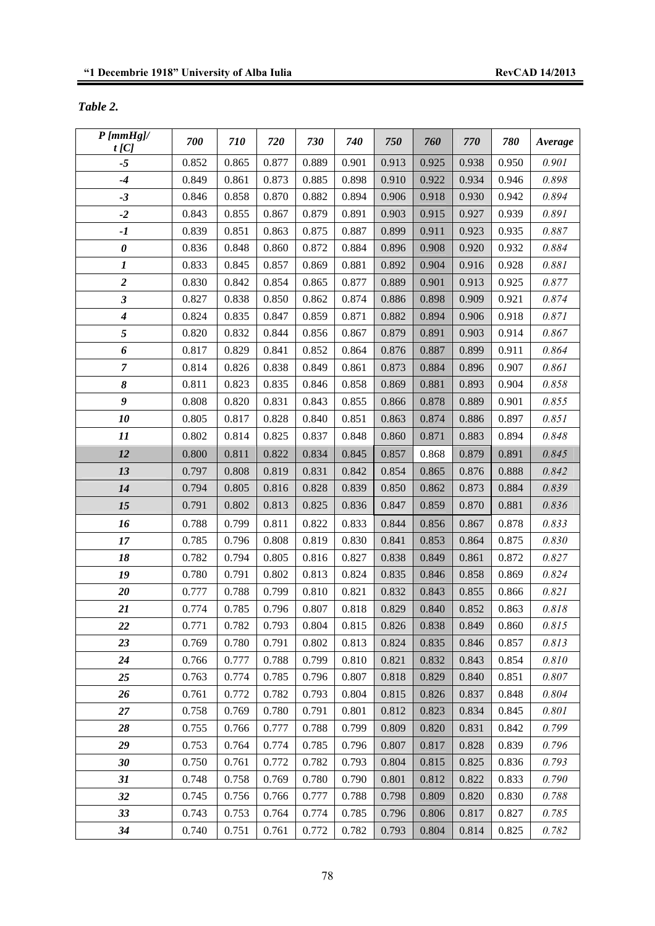## *Table 2.*

| $P$ [mmHg]/                 | 700            | 710            | 720            | 730            | 740            | 750            | 760            | 770            | 780            | Average        |
|-----------------------------|----------------|----------------|----------------|----------------|----------------|----------------|----------------|----------------|----------------|----------------|
| t[C]<br>$-5$                | 0.852          | 0.865          | 0.877          | 0.889          | 0.901          | 0.913          | 0.925          | 0.938          | 0.950          | 0.901          |
| $-4$                        | 0.849          | 0.861          | 0.873          | 0.885          | 0.898          |                | 0.922          | 0.934          | 0.946          |                |
| $-3$                        | 0.846          |                |                |                |                | 0.910          |                |                |                | 0.898          |
|                             |                | 0.858          | 0.870          | 0.882          | 0.894          | 0.906          | 0.918          | 0.930          | 0.942          | 0.894          |
| $-2$<br>$-I$                | 0.843<br>0.839 | 0.855<br>0.851 | 0.867<br>0.863 | 0.879<br>0.875 | 0.891<br>0.887 | 0.903<br>0.899 | 0.915<br>0.911 | 0.927<br>0.923 | 0.939<br>0.935 | 0.891<br>0.887 |
| $\pmb{\theta}$              | 0.836          | 0.848          | 0.860          | 0.872          | 0.884          | 0.896          | 0.908          | 0.920          | 0.932          | 0.884          |
| $\boldsymbol{l}$            | 0.833          | 0.845          | 0.857          | 0.869          | 0.881          | 0.892          | 0.904          | 0.916          | 0.928          | 0.881          |
| $\boldsymbol{2}$            | 0.830          | 0.842          | 0.854          | 0.865          | 0.877          | 0.889          | 0.901          | 0.913          | 0.925          | 0.877          |
| $\boldsymbol{\mathfrak{z}}$ | 0.827          | 0.838          | 0.850          | 0.862          | 0.874          | 0.886          | 0.898          | 0.909          | 0.921          | 0.874          |
| $\boldsymbol{4}$            | 0.824          | 0.835          | 0.847          | 0.859          | 0.871          | 0.882          | 0.894          | 0.906          | 0.918          | 0.871          |
| 5                           | 0.820          | 0.832          | 0.844          | 0.856          | 0.867          | 0.879          | 0.891          | 0.903          | 0.914          | 0.867          |
| 6                           | 0.817          | 0.829          | 0.841          | 0.852          | 0.864          | 0.876          | 0.887          | 0.899          | 0.911          | 0.864          |
| $\overline{7}$              | 0.814          | 0.826          | 0.838          | 0.849          | 0.861          | 0.873          | 0.884          | 0.896          | 0.907          | 0.861          |
| 8                           | 0.811          | 0.823          | 0.835          | 0.846          | 0.858          | 0.869          | 0.881          | 0.893          | 0.904          | 0.858          |
| 9                           | 0.808          | 0.820          | 0.831          | 0.843          | 0.855          | 0.866          | 0.878          | 0.889          | 0.901          | 0.855          |
| 10                          | 0.805          | 0.817          | 0.828          | 0.840          | 0.851          | 0.863          | 0.874          | 0.886          | 0.897          | 0.851          |
| 11                          | 0.802          | 0.814          | 0.825          | 0.837          | 0.848          | 0.860          | 0.871          | 0.883          | 0.894          | 0.848          |
| 12                          | 0.800          | 0.811          | 0.822          | 0.834          | 0.845          | 0.857          | 0.868          | 0.879          | 0.891          | 0.845          |
| 13                          | 0.797          | 0.808          | 0.819          | 0.831          | 0.842          | 0.854          | 0.865          | 0.876          | 0.888          | 0.842          |
| 14                          | 0.794          | 0.805          | 0.816          | 0.828          | 0.839          | 0.850          | 0.862          | 0.873          | 0.884          | 0.839          |
| 15                          | 0.791          | 0.802          | 0.813          | 0.825          | 0.836          | 0.847          | 0.859          | 0.870          | 0.881          | 0.836          |
| 16                          | 0.788          | 0.799          | 0.811          | 0.822          | 0.833          | 0.844          | 0.856          | 0.867          | 0.878          | 0.833          |
| 17                          | 0.785          | 0.796          | 0.808          | 0.819          | 0.830          | 0.841          | 0.853          | 0.864          | 0.875          | 0.830          |
| 18                          | 0.782          | 0.794          | 0.805          | 0.816          | 0.827          | 0.838          | 0.849          | 0.861          | 0.872          | 0.827          |
| 19                          | 0.780          | 0.791          | 0.802          | 0.813          | 0.824          | 0.835          | 0.846          | 0.858          | 0.869          | 0.824          |
| 20                          | 0.777          | 0.788          | 0.799          | 0.810          | 0.821          | 0.832          | 0.843          | 0.855          | 0.866          | 0.821          |
| 21                          | 0.774          | 0.785          | 0.796          | 0.807          | 0.818          | 0.829          | 0.840          | 0.852          | 0.863          | 0.818          |
| 22                          | 0.771          | 0.782          | 0.793          | 0.804          | 0.815          | 0.826          | 0.838          | 0.849          | 0.860          | 0.815          |
| 23                          | 0.769          | 0.780          | 0.791          | 0.802          | 0.813          | 0.824          | 0.835          | 0.846          | 0.857          | 0.813          |
| 24                          | 0.766          | 0.777          | 0.788          | 0.799          | 0.810          | 0.821          | 0.832          | 0.843          | 0.854          | 0.810          |
| 25                          | 0.763          | 0.774          | 0.785          | 0.796          | 0.807          | 0.818          | 0.829          | 0.840          | 0.851          | 0.807          |
| 26                          | 0.761          | 0.772          | 0.782          | 0.793          | 0.804          | 0.815          | 0.826          | 0.837          | 0.848          | 0.804          |
| 27                          | 0.758          | 0.769          | 0.780          | 0.791          | 0.801          | 0.812          | 0.823          | 0.834          | 0.845          | 0.801          |
| 28                          | 0.755          | 0.766          | 0.777          | 0.788          | 0.799          | 0.809          | 0.820          | 0.831          | 0.842          | 0.799          |
| 29                          | 0.753          | 0.764          | 0.774          | 0.785          | 0.796          | 0.807          | 0.817          | 0.828          | 0.839          | 0.796          |
| $30\,$                      | 0.750          | 0.761          | 0.772          | 0.782          | 0.793          | 0.804          | 0.815          | 0.825          | 0.836          | 0.793          |
| 31                          | 0.748          | 0.758          | 0.769          | 0.780          | 0.790          | 0.801          | 0.812          | 0.822          | 0.833          | 0.790          |
| 32                          | 0.745          | 0.756          | 0.766          | 0.777          | 0.788          | 0.798          | 0.809          | 0.820          | 0.830          | 0.788          |
| 33                          | 0.743          | 0.753          | 0.764          | 0.774          | 0.785          | 0.796          | 0.806          | 0.817          | 0.827          | 0.785          |
| 34                          | 0.740          | 0.751          | 0.761          | 0.772          | 0.782          | 0.793          | 0.804          | 0.814          | 0.825          | 0.782          |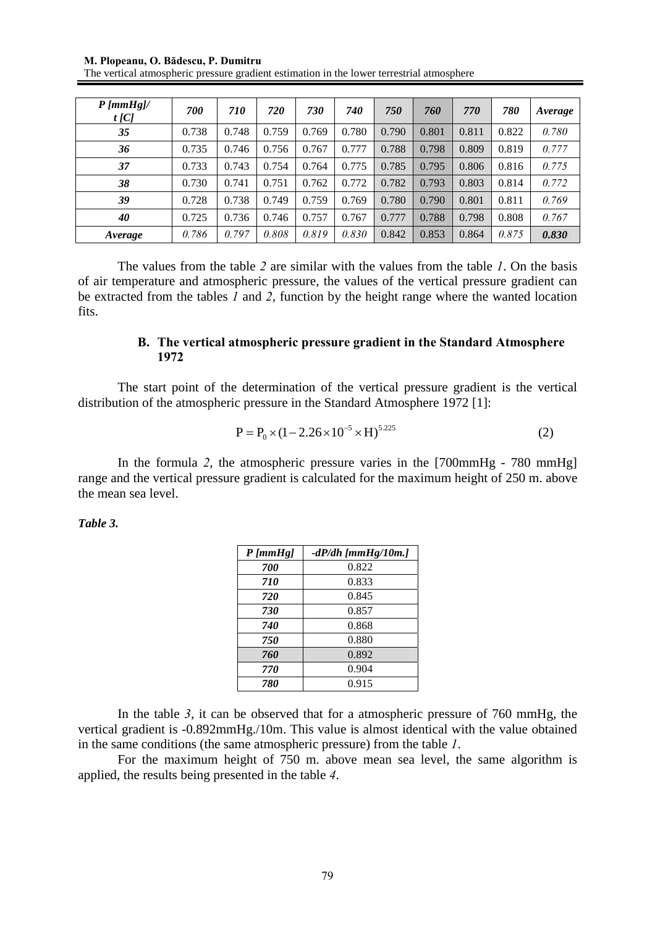**M. Plopeanu, O. Bădescu, P. Dumitru** 

| The vertical atmospheric pressure gradient estimation in the lower terrestrial atmosphere |  |  |
|-------------------------------------------------------------------------------------------|--|--|
|                                                                                           |  |  |
|                                                                                           |  |  |
|                                                                                           |  |  |
|                                                                                           |  |  |

| $P$ [mmHg]/<br>$t$ [C] | 700   | <i>710</i> | 720   | 730   | 740   | 750   | 760   | 770   | 780   | Average |
|------------------------|-------|------------|-------|-------|-------|-------|-------|-------|-------|---------|
| 35                     | 0.738 | 0.748      | 0.759 | 0.769 | 0.780 | 0.790 | 0.801 | 0.811 | 0.822 | 0.780   |
| 36                     | 0.735 | 0.746      | 0.756 | 0.767 | 0.777 | 0.788 | 0.798 | 0.809 | 0.819 | 0.777   |
| 37                     | 0.733 | 0.743      | 0.754 | 0.764 | 0.775 | 0.785 | 0.795 | 0.806 | 0.816 | 0.775   |
| 38                     | 0.730 | 0.741      | 0.751 | 0.762 | 0.772 | 0.782 | 0.793 | 0.803 | 0.814 | 0.772   |
| 39                     | 0.728 | 0.738      | 0.749 | 0.759 | 0.769 | 0.780 | 0.790 | 0.801 | 0.811 | 0.769   |
| 40                     | 0.725 | 0.736      | 0.746 | 0.757 | 0.767 | 0.777 | 0.788 | 0.798 | 0.808 | 0.767   |
| Average                | 0.786 | 0.797      | 0.808 | 0.819 | 0.830 | 0.842 | 0.853 | 0.864 | 0.875 | 0.830   |

The values from the table *2* are similar with the values from the table *1*. On the basis of air temperature and atmospheric pressure, the values of the vertical pressure gradient can be extracted from the tables *1* and *2*, function by the height range where the wanted location fits.

### **B. The vertical atmospheric pressure gradient in the Standard Atmosphere 1972**

The start point of the determination of the vertical pressure gradient is the vertical distribution of the atmospheric pressure in the Standard Atmosphere 1972 [1]:

$$
P = P_0 \times (1 - 2.26 \times 10^{-5} \times H)^{5.225}
$$
 (2)

In the formula *2*, the atmospheric pressure varies in the [700mmHg - 780 mmHg] range and the vertical pressure gradient is calculated for the maximum height of 250 m. above the mean sea level.

### *Table 3.*

| $P$ [ $mmHg$ ] | $-dP/dh$ [ $mmHg/10m$ .] |
|----------------|--------------------------|
| 700            | 0.822                    |
| 710            | 0.833                    |
| 720            | 0.845                    |
| 730            | 0.857                    |
| 740            | 0.868                    |
| 750            | 0.880                    |
| 760            | 0.892                    |
| 770            | 0.904                    |
| 780            | 0.915                    |

In the table *3*, it can be observed that for a atmospheric pressure of 760 mmHg, the vertical gradient is -0.892mmHg./10m. This value is almost identical with the value obtained in the same conditions (the same atmospheric pressure) from the table *1*.

For the maximum height of 750 m. above mean sea level, the same algorithm is applied, the results being presented in the table *4*.